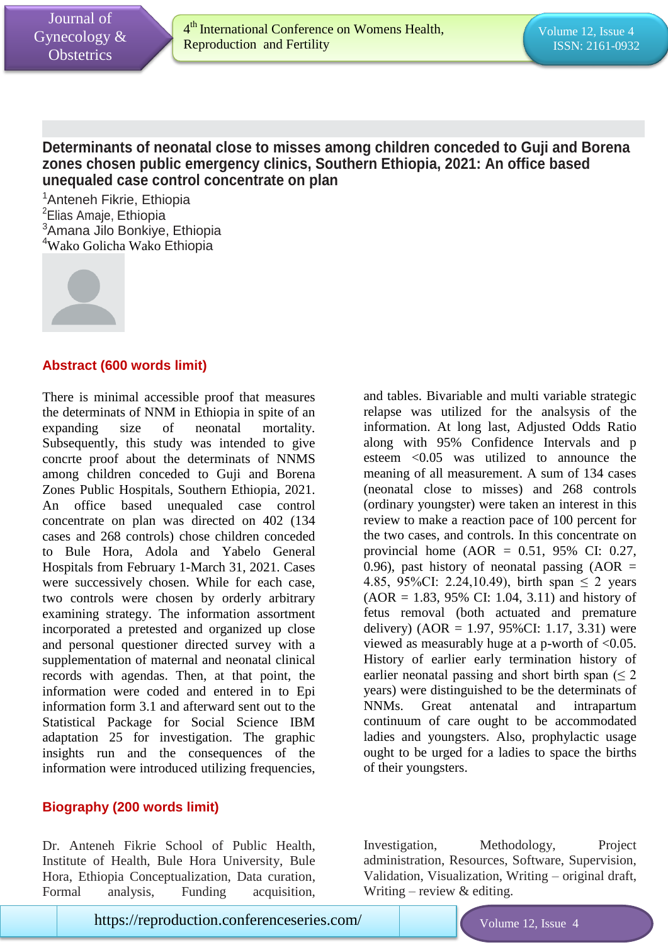Iss

# **Determinants of neonatal close to misses among children conceded to Guji and Borena zones chosen public emergency clinics, Southern Ethiopia, 2021: An office based unequaled case control concentrate on plan**

<sup>1</sup> Anteneh Fikrie, Ethiopia <sup>2</sup>Elias Amaje, Ethiopia <sup>3</sup>Amana Jilo Bonkiye, Ethiopia <sup>4</sup>Wako Golicha Wako Ethiopia



## **Abstract (600 words limit)**

There is minimal accessible proof that measures the determinats of NNM in Ethiopia in spite of an expanding size of neonatal mortality. Subsequently, this study was intended to give concrte proof about the determinats of NNMS among children conceded to Guji and Borena Zones Public Hospitals, Southern Ethiopia, 2021. An office based unequaled case control concentrate on plan was directed on 402 (134 cases and 268 controls) chose children conceded to Bule Hora, Adola and Yabelo General Hospitals from February 1-March 31, 2021. Cases were successively chosen. While for each case, two controls were chosen by orderly arbitrary examining strategy. The information assortment incorporated a pretested and organized up close and personal questioner directed survey with a supplementation of maternal and neonatal clinical records with agendas. Then, at that point, the information were coded and entered in to Epi information form 3.1 and afterward sent out to the Statistical Package for Social Science IBM adaptation 25 for investigation. The graphic insights run and the consequences of the information were introduced utilizing frequencies,

## **Biography (200 words limit)**

Dr. Anteneh Fikrie School of Public Health, Institute of Health, Bule Hora University, Bule Hora, Ethiopia Conceptualization, Data curation, Formal analysis, Funding acquisition,

and tables. Bivariable and multi variable strategic relapse was utilized for the analsysis of the information. At long last, Adjusted Odds Ratio along with 95% Confidence Intervals and p esteem <0.05 was utilized to announce the meaning of all measurement. A sum of 134 cases (neonatal close to misses) and 268 controls (ordinary youngster) were taken an interest in this review to make a reaction pace of 100 percent for the two cases, and controls. In this concentrate on provincial home  $(AOR = 0.51, 95\% \text{ CI: } 0.27,$ 0.96), past history of neonatal passing  $(AOR =$ 4.85, 95%CI: 2.24,10.49), birth span  $\leq$  2 years  $(AOR = 1.83, 95\% \text{ CI: } 1.04, 3.11)$  and history of fetus removal (both actuated and premature delivery) (AOR = 1.97, 95%CI: 1.17, 3.31) were viewed as measurably huge at a p-worth of <0.05. History of earlier early termination history of earlier neonatal passing and short birth span ( $\leq 2$ ) years) were distinguished to be the determinats of NNMs. Great antenatal and intrapartum continuum of care ought to be accommodated ladies and youngsters. Also, prophylactic usage ought to be urged for a ladies to space the births of their youngsters.

Investigation, Methodology, Project administration, Resources, Software, Supervision, Validation, Visualization, Writing – original draft, Writing – review  $&$  editing.

Issue 4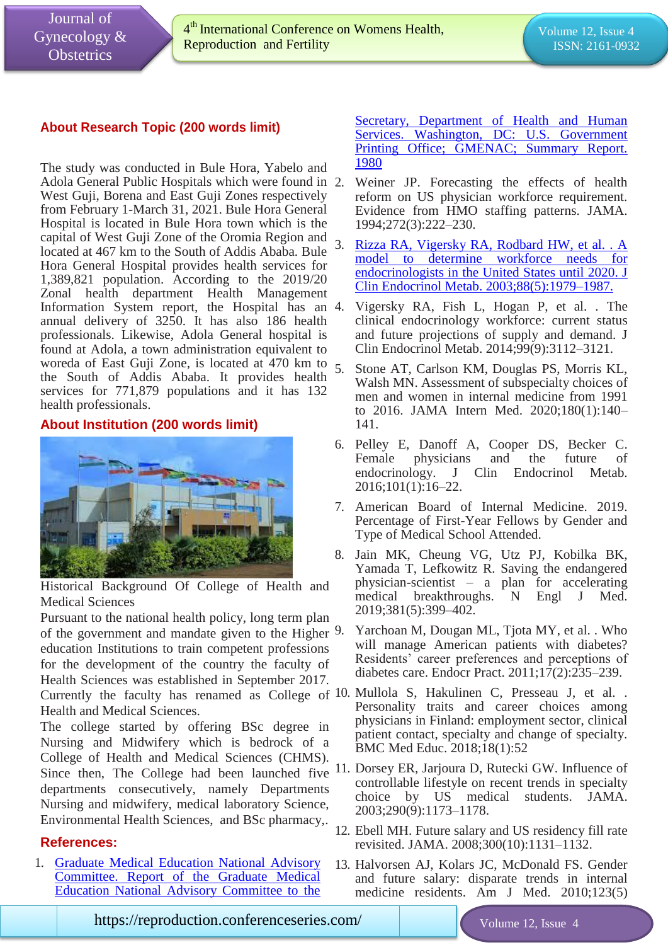Iss

## **About Research Topic (200 words limit)**

The study was conducted in Bule Hora, Yabelo and Adola General Public Hospitals which were found in West Guji, Borena and East Guji Zones respectively from February 1-March 31, 2021. Bule Hora General Hospital is located in Bule Hora town which is the capital of West Guji Zone of the Oromia Region and located at 467 km to the South of Addis Ababa. Bule Hora General Hospital provides health services for 1,389,821 population. According to the 2019/20 Zonal health department Health Management Information System report, the Hospital has an 4. annual delivery of 3250. It has also 186 health professionals. Likewise, Adola General hospital is found at Adola, a town administration equivalent to woreda of East Guji Zone, is located at  $470 \text{ km}$  to  $5$ . the South of Addis Ababa. It provides health services for 771,879 populations and it has 132 health professionals.

### **About Institution (200 words limit)**



Historical Background Of College of Health and Medical Sciences

Pursuant to the national health policy, long term plan of the government and mandate given to the Higher 9. education Institutions to train competent professions for the development of the country the faculty of Health Sciences was established in September 2017. Currently the faculty has renamed as College of 10. Mullola S, Hakulinen C, Presseau J, et al. . Health and Medical Sciences.

The college started by offering BSc degree in Nursing and Midwifery which is bedrock of a College of Health and Medical Sciences (CHMS). departments consecutively, namely Departments Nursing and midwifery, medical laboratory Science, Environmental Health Sciences, and BSc pharmacy,.

### **References:**

1. [Graduate Medical Education National Advisory](https://www.longdom.org/gynecology-obstetrics/archive.html)  [Committee. Report of the Graduate Medical](https://www.longdom.org/gynecology-obstetrics/archive.html)  [Education National Advisory Committee to the](https://www.longdom.org/gynecology-obstetrics/archive.html)  Secretary, Department of Health and Human [Services. Washington, DC: U.S. Government](https://www.longdom.org/gynecology-obstetrics/archive.html)  [Printing Office; GMENAC; Summary Report.](https://www.longdom.org/gynecology-obstetrics/archive.html)  [1980](https://www.longdom.org/gynecology-obstetrics/archive.html)

- Weiner JP. Forecasting the effects of health reform on US physician workforce requirement. Evidence from HMO staffing patterns. JAMA. 1994;272(3):222–230.
- 3. [Rizza RA, Vigersky RA, Rodbard HW, et al. . A](https://www.longdom.org/gynecology-obstetrics.html)  [model to determine workforce needs for](https://www.longdom.org/gynecology-obstetrics.html)  [endocrinologists in the United States until 2020. J](https://www.longdom.org/gynecology-obstetrics.html)  [Clin Endocrinol Metab. 2003;88\(5\):1979–1987.](https://www.longdom.org/gynecology-obstetrics.html)
- 4. Vigersky RA, Fish L, Hogan P, et al. . The clinical endocrinology workforce: current status and future projections of supply and demand. J Clin Endocrinol Metab. 2014;99(9):3112–3121.
- 5. Stone AT, Carlson KM, Douglas PS, Morris KL, Walsh MN. Assessment of subspecialty choices of men and women in internal medicine from 1991 to 2016. JAMA Intern Med. 2020;180(1):140– 141.
- 6. Pelley E, Danoff A, Cooper DS, Becker C. Female physicians and the future of endocrinology. J Clin Endocrinol Metab. 2016;101(1):16–22.
- 7. American Board of Internal Medicine. 2019. Percentage of First-Year Fellows by Gender and Type of Medical School Attended.
- 8. Jain MK, Cheung VG, Utz PJ, Kobilka BK, Yamada T, Lefkowitz R. Saving the endangered physician-scientist – a plan for accelerating medical breakthroughs. N Engl J Med. 2019;381(5):399–402.
	- Yarchoan M, Dougan ML, Tjota MY, et al. . Who will manage American patients with diabetes? Residents' career preferences and perceptions of diabetes care. Endocr Pract. 2011;17(2):235–239.
- Personality traits and career choices among physicians in Finland: employment sector, clinical patient contact, specialty and change of specialty. BMC Med Educ. 2018;18(1):52
- Since then, The College had been launched five 11. Dorsey ER, Jarjoura D, Rutecki GW. Influence of controllable lifestyle on recent trends in specialty choice by US medical students. JAMA. 2003;290(9):1173–1178.
	- 12. Ebell MH. Future salary and US residency fill rate revisited. JAMA. 2008;300(10):1131–1132.
	- 13. Halvorsen AJ, Kolars JC, McDonald FS. Gender and future salary: disparate trends in internal medicine residents. Am J Med. 2010;123(5)

**https://reproduction.conferenceseries.com/ Volume 12, Issue 4** 

Issue 4